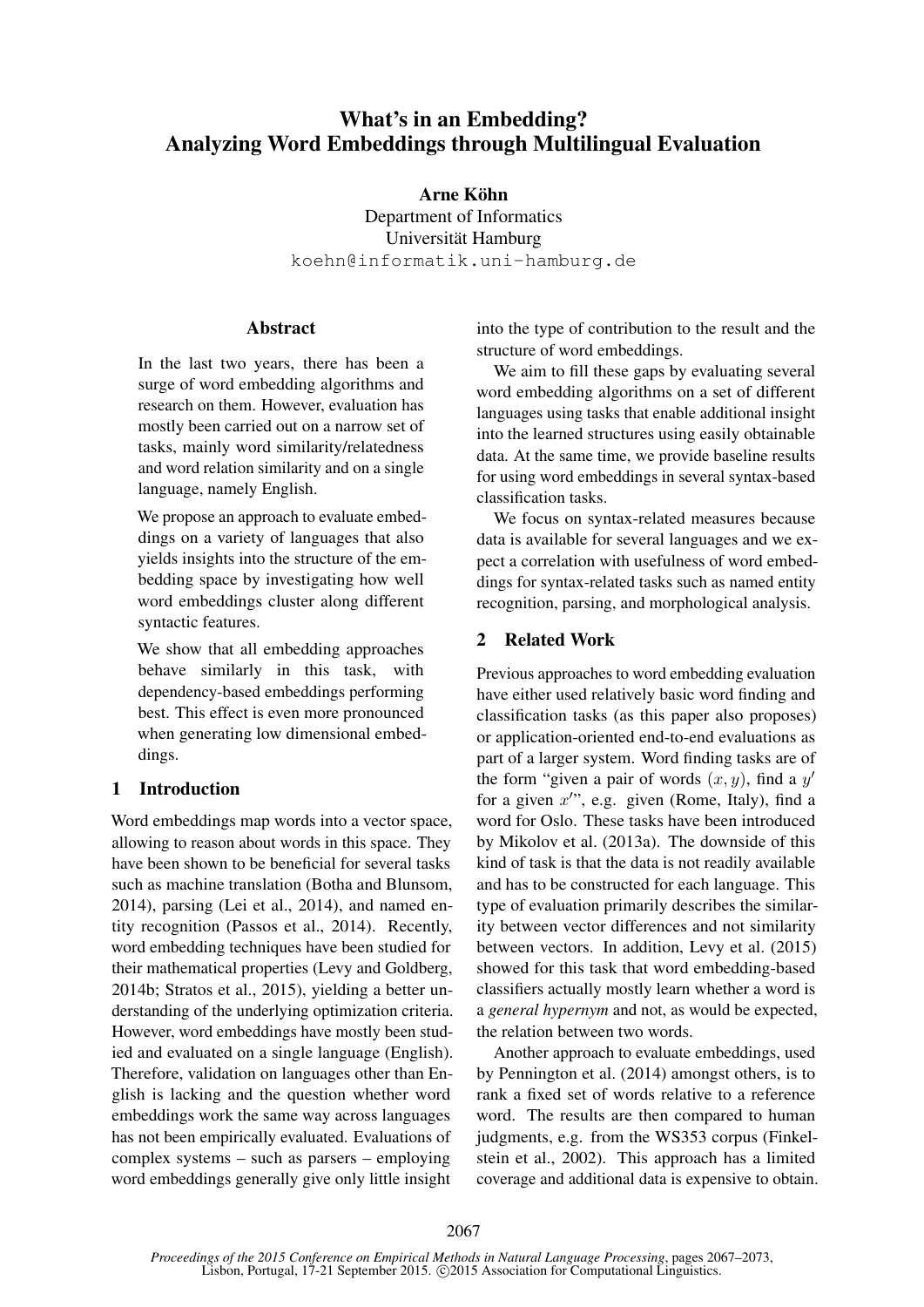# What's in an Embedding? Analyzing Word Embeddings through Multilingual Evaluation

## Arne Köhn

Department of Informatics Universität Hamburg koehn@informatik.uni-hamburg.de

## **Abstract**

In the last two years, there has been a surge of word embedding algorithms and research on them. However, evaluation has mostly been carried out on a narrow set of tasks, mainly word similarity/relatedness and word relation similarity and on a single language, namely English.

We propose an approach to evaluate embeddings on a variety of languages that also yields insights into the structure of the embedding space by investigating how well word embeddings cluster along different syntactic features.

We show that all embedding approaches behave similarly in this task, with dependency-based embeddings performing best. This effect is even more pronounced when generating low dimensional embeddings.

## 1 Introduction

Word embeddings map words into a vector space, allowing to reason about words in this space. They have been shown to be beneficial for several tasks such as machine translation (Botha and Blunsom, 2014), parsing (Lei et al., 2014), and named entity recognition (Passos et al., 2014). Recently, word embedding techniques have been studied for their mathematical properties (Levy and Goldberg, 2014b; Stratos et al., 2015), yielding a better understanding of the underlying optimization criteria. However, word embeddings have mostly been studied and evaluated on a single language (English). Therefore, validation on languages other than English is lacking and the question whether word embeddings work the same way across languages has not been empirically evaluated. Evaluations of complex systems – such as parsers – employing word embeddings generally give only little insight

into the type of contribution to the result and the structure of word embeddings.

We aim to fill these gaps by evaluating several word embedding algorithms on a set of different languages using tasks that enable additional insight into the learned structures using easily obtainable data. At the same time, we provide baseline results for using word embeddings in several syntax-based classification tasks.

We focus on syntax-related measures because data is available for several languages and we expect a correlation with usefulness of word embeddings for syntax-related tasks such as named entity recognition, parsing, and morphological analysis.

## 2 Related Work

Previous approaches to word embedding evaluation have either used relatively basic word finding and classification tasks (as this paper also proposes) or application-oriented end-to-end evaluations as part of a larger system. Word finding tasks are of the form "given a pair of words  $(x, y)$ , find a y' for a given  $x''$ , e.g. given (Rome, Italy), find a word for Oslo. These tasks have been introduced by Mikolov et al. (2013a). The downside of this kind of task is that the data is not readily available and has to be constructed for each language. This type of evaluation primarily describes the similarity between vector differences and not similarity between vectors. In addition, Levy et al. (2015) showed for this task that word embedding-based classifiers actually mostly learn whether a word is a *general hypernym* and not, as would be expected, the relation between two words.

Another approach to evaluate embeddings, used by Pennington et al. (2014) amongst others, is to rank a fixed set of words relative to a reference word. The results are then compared to human judgments, e.g. from the WS353 corpus (Finkelstein et al., 2002). This approach has a limited coverage and additional data is expensive to obtain.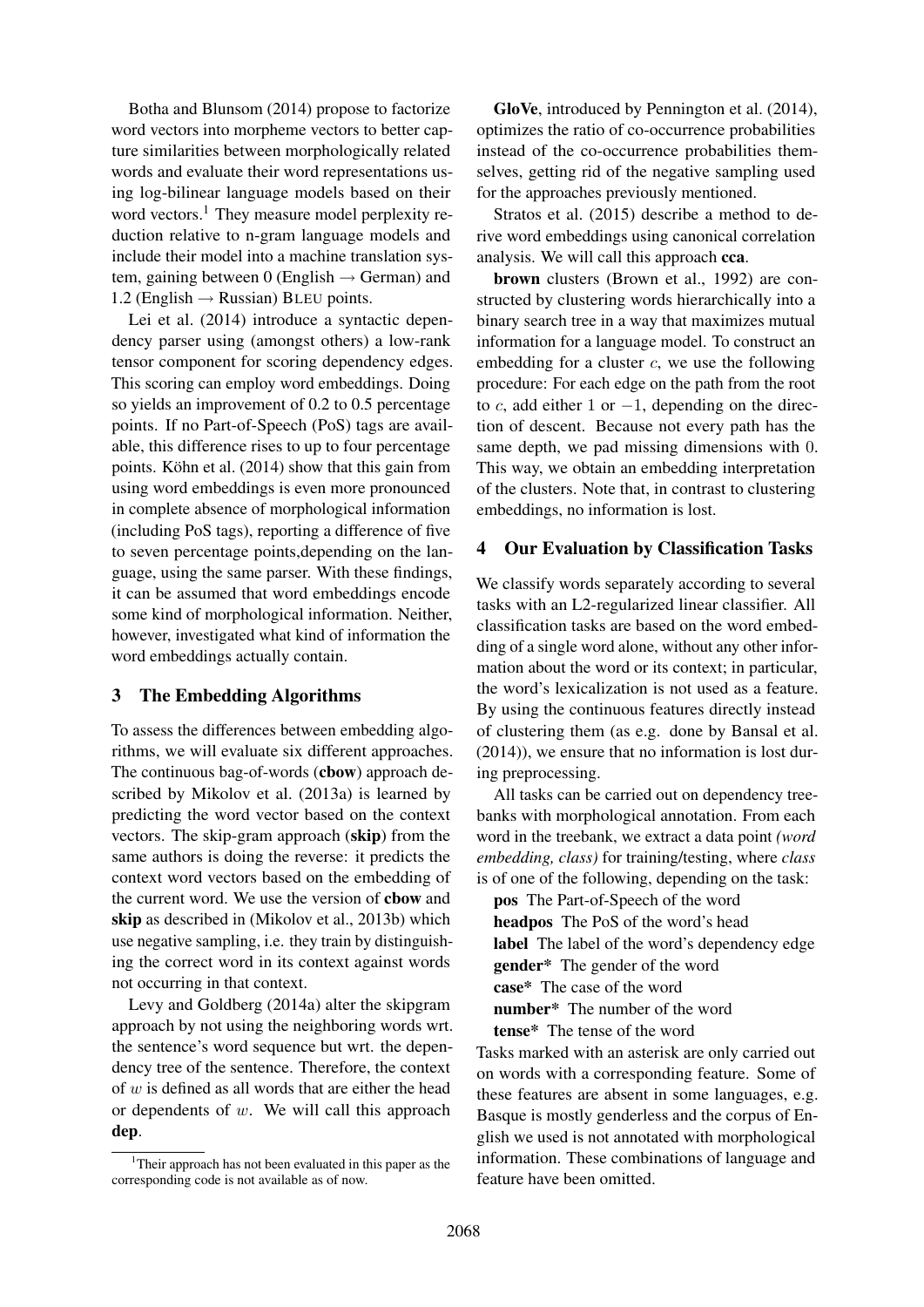Botha and Blunsom (2014) propose to factorize word vectors into morpheme vectors to better capture similarities between morphologically related words and evaluate their word representations using log-bilinear language models based on their word vectors.<sup>1</sup> They measure model perplexity reduction relative to n-gram language models and include their model into a machine translation system, gaining between 0 (English  $\rightarrow$  German) and 1.2 (English  $\rightarrow$  Russian) BLEU points.

Lei et al. (2014) introduce a syntactic dependency parser using (amongst others) a low-rank tensor component for scoring dependency edges. This scoring can employ word embeddings. Doing so yields an improvement of 0.2 to 0.5 percentage points. If no Part-of-Speech (PoS) tags are available, this difference rises to up to four percentage points. Köhn et al. (2014) show that this gain from using word embeddings is even more pronounced in complete absence of morphological information (including PoS tags), reporting a difference of five to seven percentage points,depending on the language, using the same parser. With these findings, it can be assumed that word embeddings encode some kind of morphological information. Neither, however, investigated what kind of information the word embeddings actually contain.

#### 3 The Embedding Algorithms

To assess the differences between embedding algorithms, we will evaluate six different approaches. The continuous bag-of-words (cbow) approach described by Mikolov et al. (2013a) is learned by predicting the word vector based on the context vectors. The skip-gram approach (skip) from the same authors is doing the reverse: it predicts the context word vectors based on the embedding of the current word. We use the version of cbow and skip as described in (Mikolov et al., 2013b) which use negative sampling, i.e. they train by distinguishing the correct word in its context against words not occurring in that context.

Levy and Goldberg (2014a) alter the skipgram approach by not using the neighboring words wrt. the sentence's word sequence but wrt. the dependency tree of the sentence. Therefore, the context of  $w$  is defined as all words that are either the head or dependents of w. We will call this approach dep.

GloVe, introduced by Pennington et al. (2014), optimizes the ratio of co-occurrence probabilities instead of the co-occurrence probabilities themselves, getting rid of the negative sampling used for the approaches previously mentioned.

Stratos et al. (2015) describe a method to derive word embeddings using canonical correlation analysis. We will call this approach cca.

brown clusters (Brown et al., 1992) are constructed by clustering words hierarchically into a binary search tree in a way that maximizes mutual information for a language model. To construct an embedding for a cluster  $c$ , we use the following procedure: For each edge on the path from the root to c, add either 1 or  $-1$ , depending on the direction of descent. Because not every path has the same depth, we pad missing dimensions with 0. This way, we obtain an embedding interpretation of the clusters. Note that, in contrast to clustering embeddings, no information is lost.

#### 4 Our Evaluation by Classification Tasks

We classify words separately according to several tasks with an L2-regularized linear classifier. All classification tasks are based on the word embedding of a single word alone, without any other information about the word or its context; in particular, the word's lexicalization is not used as a feature. By using the continuous features directly instead of clustering them (as e.g. done by Bansal et al. (2014)), we ensure that no information is lost during preprocessing.

All tasks can be carried out on dependency treebanks with morphological annotation. From each word in the treebank, we extract a data point *(word embedding, class)* for training/testing, where *class* is of one of the following, depending on the task:

pos The Part-of-Speech of the word headpos The PoS of the word's head label The label of the word's dependency edge gender\* The gender of the word case\* The case of the word number\* The number of the word tense\* The tense of the word

Tasks marked with an asterisk are only carried out on words with a corresponding feature. Some of these features are absent in some languages, e.g. Basque is mostly genderless and the corpus of English we used is not annotated with morphological information. These combinations of language and feature have been omitted.

<sup>&</sup>lt;sup>1</sup>Their approach has not been evaluated in this paper as the corresponding code is not available as of now.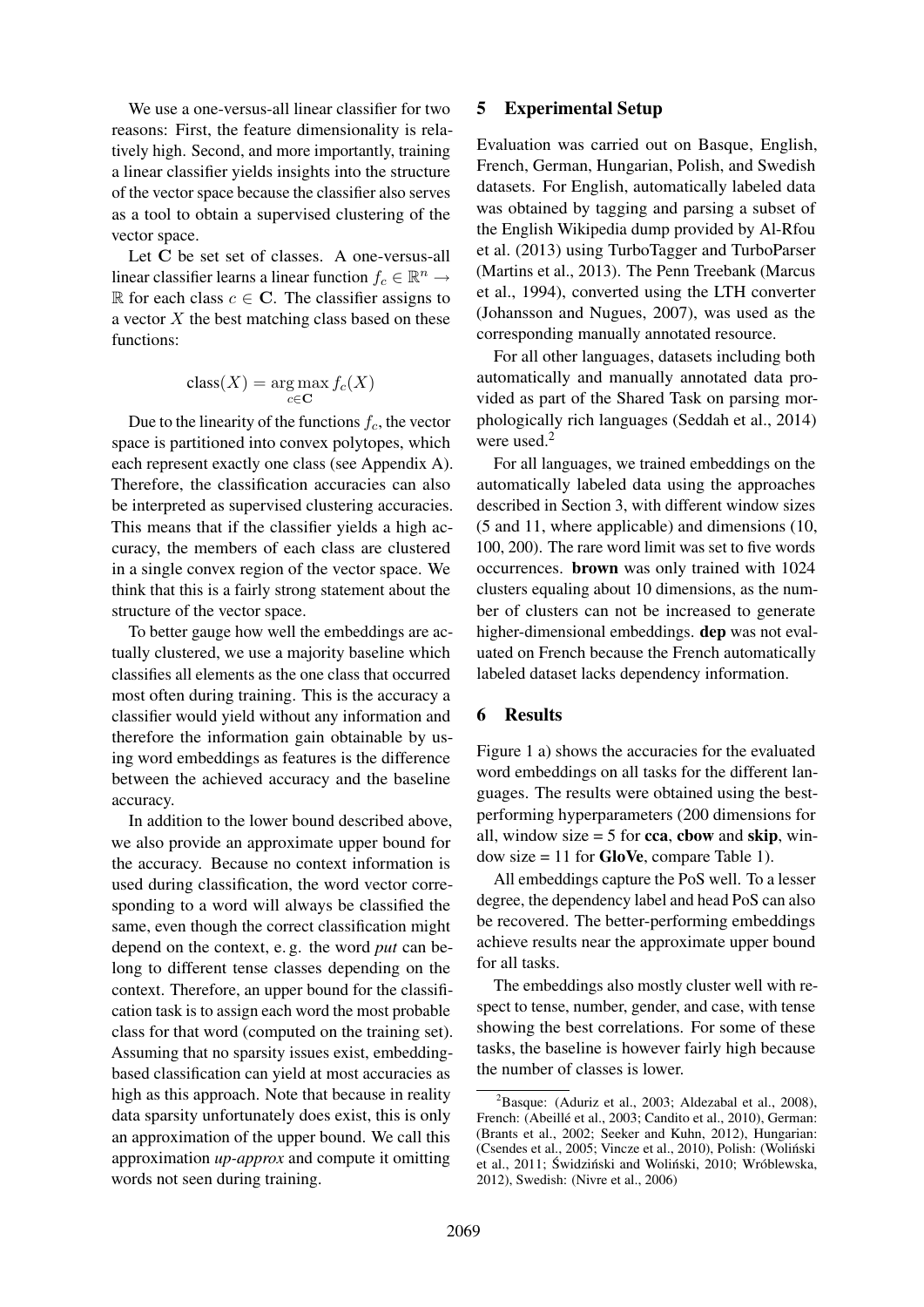We use a one-versus-all linear classifier for two reasons: First, the feature dimensionality is relatively high. Second, and more importantly, training a linear classifier yields insights into the structure of the vector space because the classifier also serves as a tool to obtain a supervised clustering of the vector space.

Let C be set set of classes. A one-versus-all linear classifier learns a linear function  $f_c \in \mathbb{R}^n \to$ R for each class  $c \in \mathbb{C}$ . The classifier assigns to a vector  $X$  the best matching class based on these functions:

$$
\operatorname{class}(X) = \operatorname*{arg\,max}_{c \in \mathbf{C}} f_c(X)
$$

Due to the linearity of the functions  $f_c$ , the vector space is partitioned into convex polytopes, which each represent exactly one class (see Appendix A). Therefore, the classification accuracies can also be interpreted as supervised clustering accuracies. This means that if the classifier yields a high accuracy, the members of each class are clustered in a single convex region of the vector space. We think that this is a fairly strong statement about the structure of the vector space.

To better gauge how well the embeddings are actually clustered, we use a majority baseline which classifies all elements as the one class that occurred most often during training. This is the accuracy a classifier would yield without any information and therefore the information gain obtainable by using word embeddings as features is the difference between the achieved accuracy and the baseline accuracy.

In addition to the lower bound described above, we also provide an approximate upper bound for the accuracy. Because no context information is used during classification, the word vector corresponding to a word will always be classified the same, even though the correct classification might depend on the context, e. g. the word *put* can belong to different tense classes depending on the context. Therefore, an upper bound for the classification task is to assign each word the most probable class for that word (computed on the training set). Assuming that no sparsity issues exist, embeddingbased classification can yield at most accuracies as high as this approach. Note that because in reality data sparsity unfortunately does exist, this is only an approximation of the upper bound. We call this approximation *up-approx* and compute it omitting words not seen during training.

#### 5 Experimental Setup

Evaluation was carried out on Basque, English, French, German, Hungarian, Polish, and Swedish datasets. For English, automatically labeled data was obtained by tagging and parsing a subset of the English Wikipedia dump provided by Al-Rfou et al. (2013) using TurboTagger and TurboParser (Martins et al., 2013). The Penn Treebank (Marcus et al., 1994), converted using the LTH converter (Johansson and Nugues, 2007), was used as the corresponding manually annotated resource.

For all other languages, datasets including both automatically and manually annotated data provided as part of the Shared Task on parsing morphologically rich languages (Seddah et al., 2014) were used. $2$ 

For all languages, we trained embeddings on the automatically labeled data using the approaches described in Section 3, with different window sizes (5 and 11, where applicable) and dimensions (10, 100, 200). The rare word limit was set to five words occurrences. brown was only trained with 1024 clusters equaling about 10 dimensions, as the number of clusters can not be increased to generate higher-dimensional embeddings. dep was not evaluated on French because the French automatically labeled dataset lacks dependency information.

#### 6 Results

Figure 1 a) shows the accuracies for the evaluated word embeddings on all tasks for the different languages. The results were obtained using the bestperforming hyperparameters (200 dimensions for all, window size  $= 5$  for cca, cbow and skip, window size  $= 11$  for **GloVe**, compare Table 1).

All embeddings capture the PoS well. To a lesser degree, the dependency label and head PoS can also be recovered. The better-performing embeddings achieve results near the approximate upper bound for all tasks.

The embeddings also mostly cluster well with respect to tense, number, gender, and case, with tense showing the best correlations. For some of these tasks, the baseline is however fairly high because the number of classes is lower.

 ${}^{2}$ Basque: (Aduriz et al., 2003; Aldezabal et al., 2008), French: (Abeillé et al., 2003; Candito et al., 2010), German: (Brants et al., 2002; Seeker and Kuhn, 2012), Hungarian: (Csendes et al., 2005; Vincze et al., 2010), Polish: (Wolinski ´ et al., 2011; Świdziński and Woliński, 2010; Wróblewska, 2012), Swedish: (Nivre et al., 2006)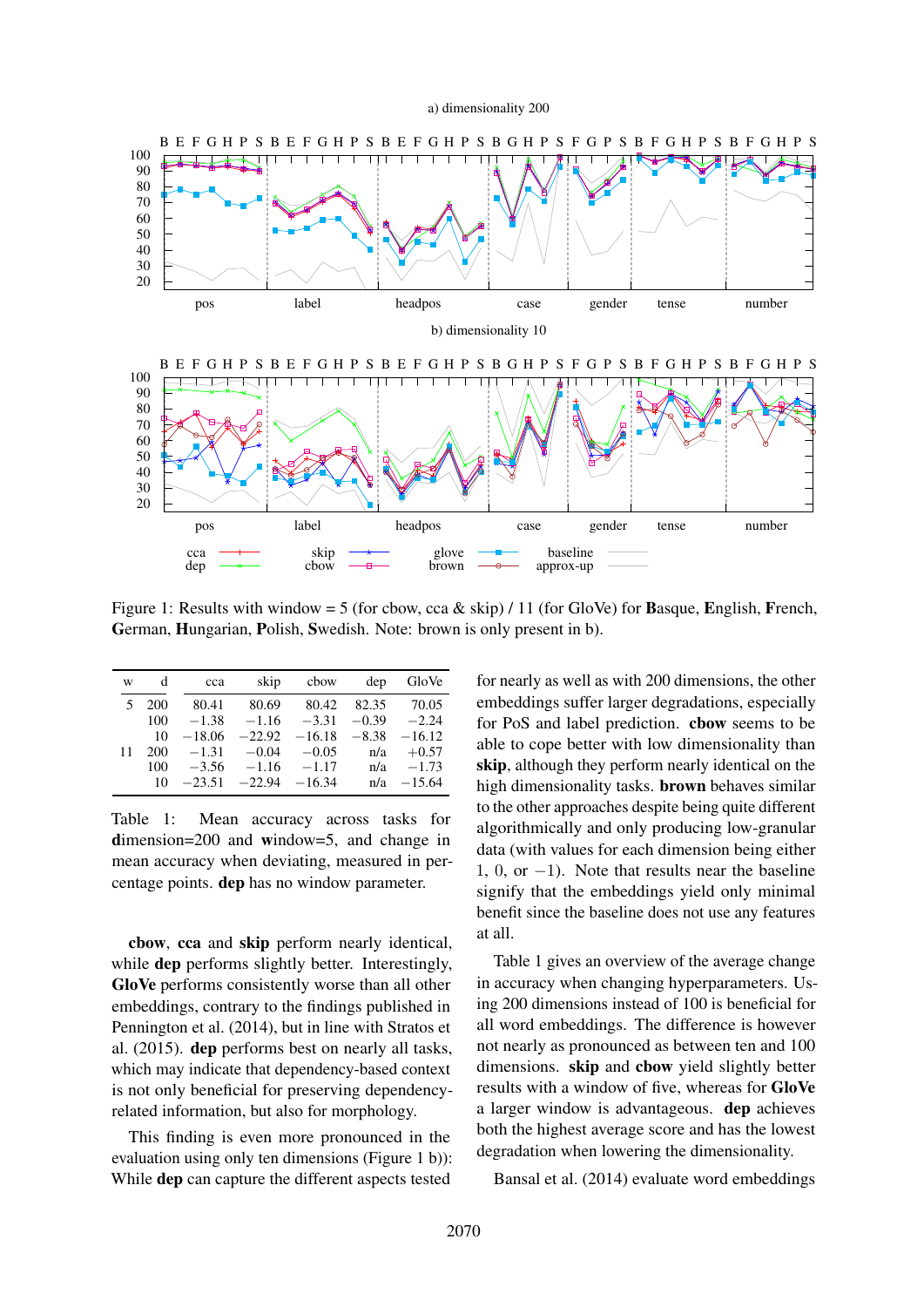a) dimensionality 200



Figure 1: Results with window = 5 (for cbow, cca & skip) / 11 (for GloVe) for **Basque, English, French,** German, Hungarian, Polish, Swedish. Note: brown is only present in b).

| W  | d   | cca      | skip          | cbow                            | dep   | GloVe    |
|----|-----|----------|---------------|---------------------------------|-------|----------|
| 5  | 200 | 80.41    | 80.69         | 80.42                           | 82.35 | 70.05    |
|    | 100 | $-1.38$  |               | $-1.16$ $-3.31$ $-0.39$ $-2.24$ |       |          |
|    | 10  | $-18.06$ | $-22.92$      | $-16.18 - 8.38$                 |       | $-16.12$ |
| 11 | 200 | $-1.31$  | $-0.04$       | $-0.05$                         | n/a   | $+0.57$  |
|    | 100 | $-3.56$  | $-1.16 -1.17$ |                                 | n/a   | $-1.73$  |
|    | 10  | $-23.51$ | $-22.94$      | $-16.34$                        | n/a   | $-15.64$ |

Table 1: Mean accuracy across tasks for dimension=200 and window=5, and change in mean accuracy when deviating, measured in percentage points. dep has no window parameter.

cbow, cca and skip perform nearly identical, while dep performs slightly better. Interestingly, GloVe performs consistently worse than all other embeddings, contrary to the findings published in Pennington et al. (2014), but in line with Stratos et al. (2015). dep performs best on nearly all tasks, which may indicate that dependency-based context is not only beneficial for preserving dependencyrelated information, but also for morphology.

This finding is even more pronounced in the evaluation using only ten dimensions (Figure 1 b)): While dep can capture the different aspects tested

for nearly as well as with 200 dimensions, the other embeddings suffer larger degradations, especially for PoS and label prediction. cbow seems to be able to cope better with low dimensionality than skip, although they perform nearly identical on the high dimensionality tasks. brown behaves similar to the other approaches despite being quite different algorithmically and only producing low-granular data (with values for each dimension being either 1, 0, or −1). Note that results near the baseline signify that the embeddings yield only minimal benefit since the baseline does not use any features at all.

Table 1 gives an overview of the average change in accuracy when changing hyperparameters. Using 200 dimensions instead of 100 is beneficial for all word embeddings. The difference is however not nearly as pronounced as between ten and 100 dimensions. skip and cbow yield slightly better results with a window of five, whereas for GloVe a larger window is advantageous. dep achieves both the highest average score and has the lowest degradation when lowering the dimensionality.

Bansal et al. (2014) evaluate word embeddings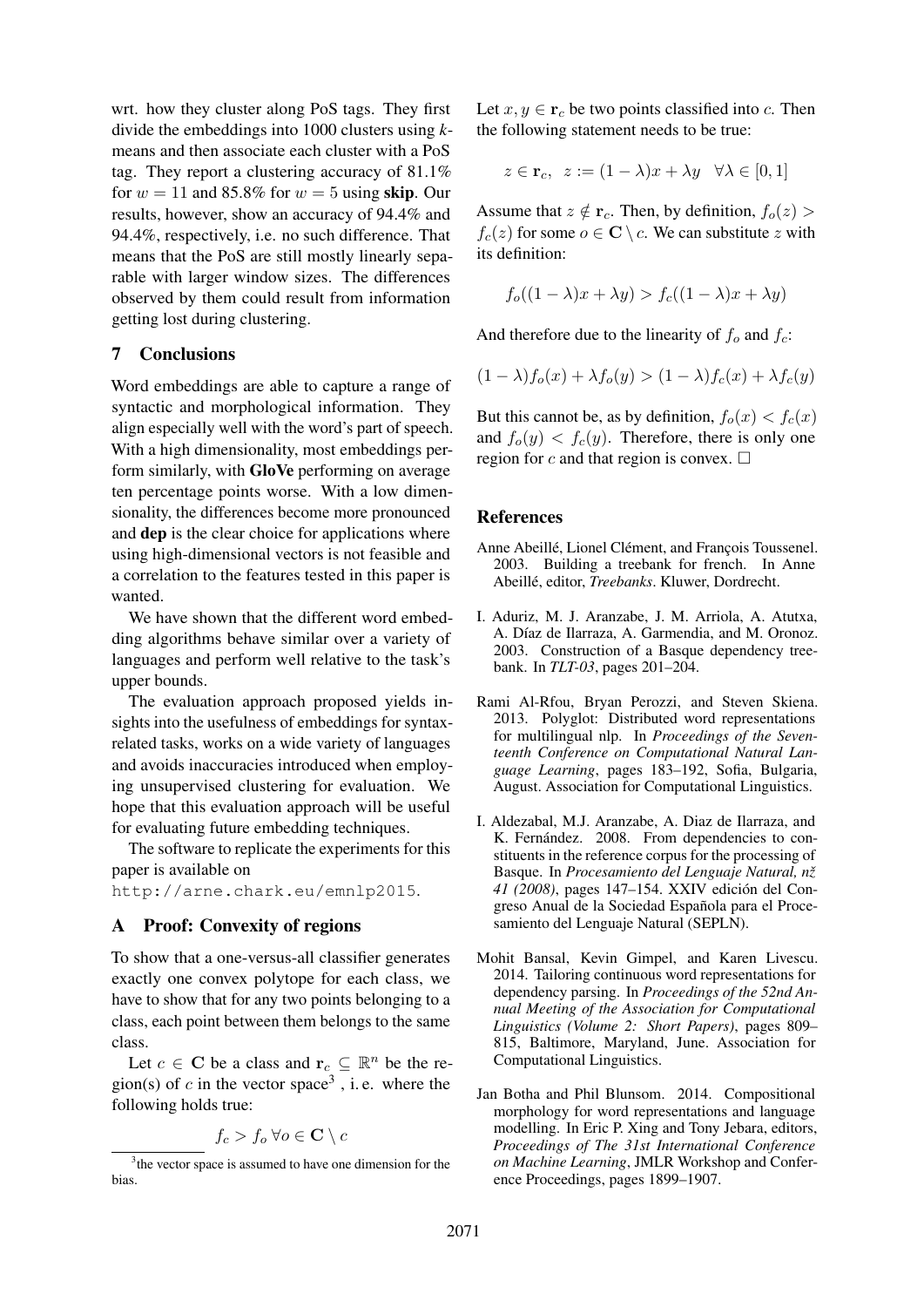wrt. how they cluster along PoS tags. They first divide the embeddings into 1000 clusters using *k*means and then associate each cluster with a PoS tag. They report a clustering accuracy of 81.1% for  $w = 11$  and 85.8% for  $w = 5$  using skip. Our results, however, show an accuracy of 94.4% and 94.4%, respectively, i.e. no such difference. That means that the PoS are still mostly linearly separable with larger window sizes. The differences observed by them could result from information getting lost during clustering.

## 7 Conclusions

Word embeddings are able to capture a range of syntactic and morphological information. They align especially well with the word's part of speech. With a high dimensionality, most embeddings perform similarly, with GloVe performing on average ten percentage points worse. With a low dimensionality, the differences become more pronounced and dep is the clear choice for applications where using high-dimensional vectors is not feasible and a correlation to the features tested in this paper is wanted.

We have shown that the different word embedding algorithms behave similar over a variety of languages and perform well relative to the task's upper bounds.

The evaluation approach proposed yields insights into the usefulness of embeddings for syntaxrelated tasks, works on a wide variety of languages and avoids inaccuracies introduced when employing unsupervised clustering for evaluation. We hope that this evaluation approach will be useful for evaluating future embedding techniques.

The software to replicate the experiments for this paper is available on

http://arne.chark.eu/emnlp2015.

#### A Proof: Convexity of regions

To show that a one-versus-all classifier generates exactly one convex polytope for each class, we have to show that for any two points belonging to a class, each point between them belongs to the same class.

Let  $c \in \mathbf{C}$  be a class and  $\mathbf{r}_c \subseteq \mathbb{R}^n$  be the region(s) of c in the vector space<sup>3</sup>, i.e. where the following holds true:

$$
f_c > f_o \,\forall o \in \mathbf{C} \setminus c
$$

Let  $x, y \in \mathbf{r}_c$  be two points classified into c. Then the following statement needs to be true:

$$
z \in \mathbf{r}_c, \ \ z := (1 - \lambda)x + \lambda y \quad \forall \lambda \in [0, 1]
$$

Assume that  $z \notin \mathbf{r}_c$ . Then, by definition,  $f_o(z)$  $f_c(z)$  for some  $o \in \mathbb{C} \setminus c$ . We can substitute z with its definition:

$$
f_o((1 - \lambda)x + \lambda y) > f_c((1 - \lambda)x + \lambda y)
$$

And therefore due to the linearity of  $f_o$  and  $f_c$ :

$$
(1 - \lambda)f_o(x) + \lambda f_o(y) > (1 - \lambda)f_c(x) + \lambda f_c(y)
$$

But this cannot be, as by definition,  $f_o(x) < f_c(x)$ and  $f<sub>o</sub>(y) < f<sub>c</sub>(y)$ . Therefore, there is only one region for c and that region is convex.  $\square$ 

#### References

- Anne Abeillé, Lionel Clément, and François Toussenel. 2003. Building a treebank for french. In Anne Abeillé, editor, *Treebanks*. Kluwer, Dordrecht.
- I. Aduriz, M. J. Aranzabe, J. M. Arriola, A. Atutxa, A. Díaz de Ilarraza, A. Garmendia, and M. Oronoz. 2003. Construction of a Basque dependency treebank. In *TLT-03*, pages 201–204.
- Rami Al-Rfou, Bryan Perozzi, and Steven Skiena. 2013. Polyglot: Distributed word representations for multilingual nlp. In *Proceedings of the Seventeenth Conference on Computational Natural Language Learning*, pages 183–192, Sofia, Bulgaria, August. Association for Computational Linguistics.
- I. Aldezabal, M.J. Aranzabe, A. Diaz de Ilarraza, and K. Fernández. 2008. From dependencies to constituents in the reference corpus for the processing of Basque. In *Procesamiento del Lenguaje Natural, nž 41 (2008)*, pages 147–154. XXIV edición del Congreso Anual de la Sociedad Española para el Procesamiento del Lenguaje Natural (SEPLN).
- Mohit Bansal, Kevin Gimpel, and Karen Livescu. 2014. Tailoring continuous word representations for dependency parsing. In *Proceedings of the 52nd Annual Meeting of the Association for Computational Linguistics (Volume 2: Short Papers)*, pages 809– 815, Baltimore, Maryland, June. Association for Computational Linguistics.
- Jan Botha and Phil Blunsom. 2014. Compositional morphology for word representations and language modelling. In Eric P. Xing and Tony Jebara, editors, *Proceedings of The 31st International Conference on Machine Learning*, JMLR Workshop and Conference Proceedings, pages 1899–1907.

<sup>&</sup>lt;sup>3</sup> the vector space is assumed to have one dimension for the bias.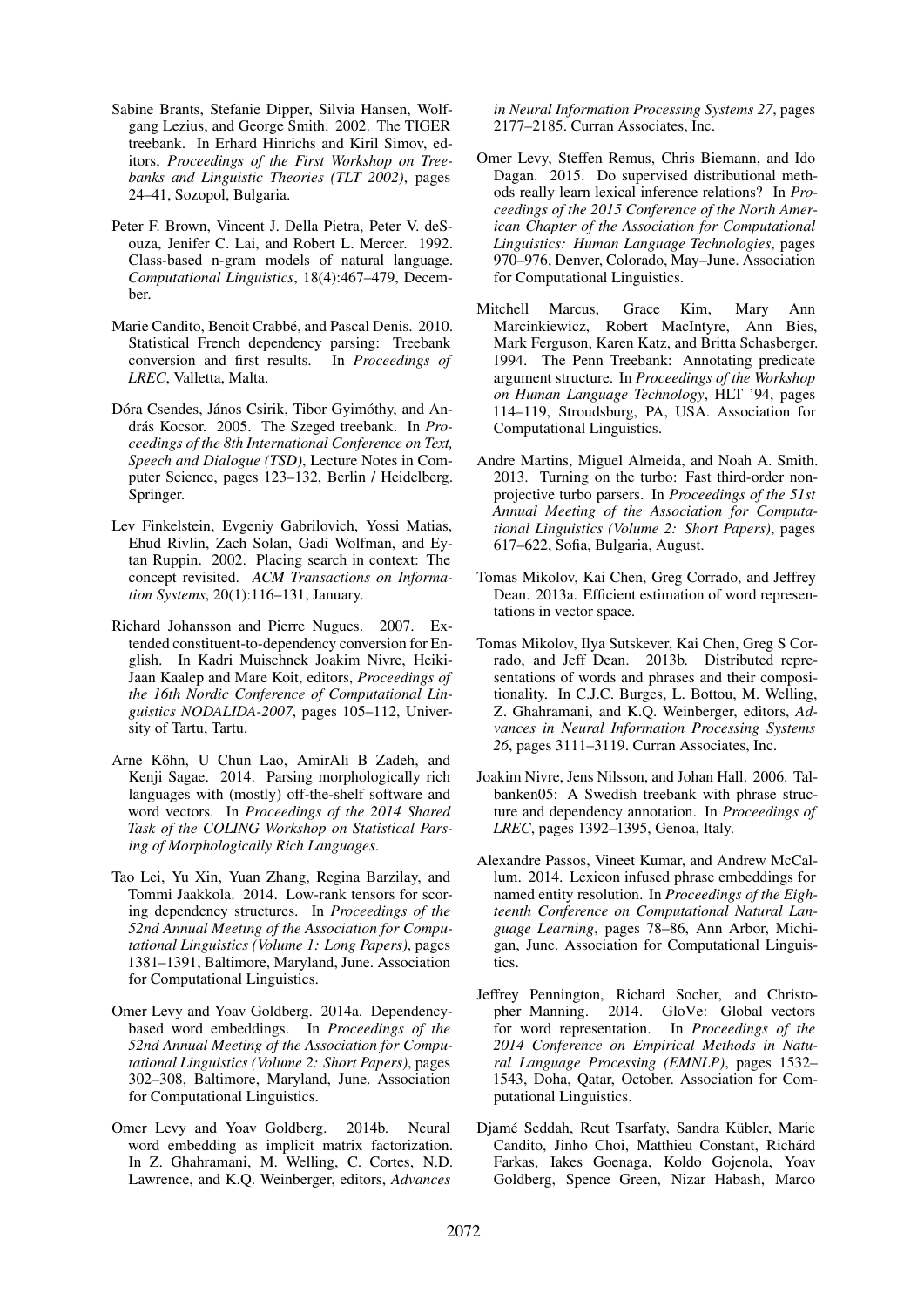- Sabine Brants, Stefanie Dipper, Silvia Hansen, Wolfgang Lezius, and George Smith. 2002. The TIGER treebank. In Erhard Hinrichs and Kiril Simov, editors, *Proceedings of the First Workshop on Treebanks and Linguistic Theories (TLT 2002)*, pages 24–41, Sozopol, Bulgaria.
- Peter F. Brown, Vincent J. Della Pietra, Peter V. deSouza, Jenifer C. Lai, and Robert L. Mercer. 1992. Class-based n-gram models of natural language. *Computational Linguistics*, 18(4):467–479, December.
- Marie Candito, Benoit Crabbé, and Pascal Denis. 2010. Statistical French dependency parsing: Treebank conversion and first results. In *Proceedings of LREC*, Valletta, Malta.
- Dóra Csendes, János Csirik, Tibor Gyimóthy, and András Kocsor. 2005. The Szeged treebank. In *Proceedings of the 8th International Conference on Text, Speech and Dialogue (TSD)*, Lecture Notes in Computer Science, pages 123–132, Berlin / Heidelberg. Springer.
- Lev Finkelstein, Evgeniy Gabrilovich, Yossi Matias, Ehud Rivlin, Zach Solan, Gadi Wolfman, and Eytan Ruppin. 2002. Placing search in context: The concept revisited. *ACM Transactions on Information Systems*, 20(1):116–131, January.
- Richard Johansson and Pierre Nugues. 2007. Extended constituent-to-dependency conversion for English. In Kadri Muischnek Joakim Nivre, Heiki-Jaan Kaalep and Mare Koit, editors, *Proceedings of the 16th Nordic Conference of Computational Linguistics NODALIDA-2007*, pages 105–112, University of Tartu, Tartu.
- Arne Köhn, U Chun Lao, AmirAli B Zadeh, and Kenji Sagae. 2014. Parsing morphologically rich languages with (mostly) off-the-shelf software and word vectors. In *Proceedings of the 2014 Shared Task of the COLING Workshop on Statistical Parsing of Morphologically Rich Languages*.
- Tao Lei, Yu Xin, Yuan Zhang, Regina Barzilay, and Tommi Jaakkola. 2014. Low-rank tensors for scoring dependency structures. In *Proceedings of the 52nd Annual Meeting of the Association for Computational Linguistics (Volume 1: Long Papers)*, pages 1381–1391, Baltimore, Maryland, June. Association for Computational Linguistics.
- Omer Levy and Yoav Goldberg. 2014a. Dependencybased word embeddings. In *Proceedings of the 52nd Annual Meeting of the Association for Computational Linguistics (Volume 2: Short Papers)*, pages 302–308, Baltimore, Maryland, June. Association for Computational Linguistics.
- Omer Levy and Yoav Goldberg. 2014b. Neural word embedding as implicit matrix factorization. In Z. Ghahramani, M. Welling, C. Cortes, N.D. Lawrence, and K.Q. Weinberger, editors, *Advances*

*in Neural Information Processing Systems 27*, pages 2177–2185. Curran Associates, Inc.

- Omer Levy, Steffen Remus, Chris Biemann, and Ido Dagan. 2015. Do supervised distributional methods really learn lexical inference relations? In *Proceedings of the 2015 Conference of the North American Chapter of the Association for Computational Linguistics: Human Language Technologies*, pages 970–976, Denver, Colorado, May–June. Association for Computational Linguistics.
- Mitchell Marcus, Grace Kim, Mary Ann Marcinkiewicz, Robert MacIntyre, Ann Bies, Mark Ferguson, Karen Katz, and Britta Schasberger. 1994. The Penn Treebank: Annotating predicate argument structure. In *Proceedings of the Workshop on Human Language Technology*, HLT '94, pages 114–119, Stroudsburg, PA, USA. Association for Computational Linguistics.
- Andre Martins, Miguel Almeida, and Noah A. Smith. 2013. Turning on the turbo: Fast third-order nonprojective turbo parsers. In *Proceedings of the 51st Annual Meeting of the Association for Computational Linguistics (Volume 2: Short Papers)*, pages 617–622, Sofia, Bulgaria, August.
- Tomas Mikolov, Kai Chen, Greg Corrado, and Jeffrey Dean. 2013a. Efficient estimation of word representations in vector space.
- Tomas Mikolov, Ilya Sutskever, Kai Chen, Greg S Corrado, and Jeff Dean. 2013b. Distributed representations of words and phrases and their compositionality. In C.J.C. Burges, L. Bottou, M. Welling, Z. Ghahramani, and K.Q. Weinberger, editors, *Advances in Neural Information Processing Systems 26*, pages 3111–3119. Curran Associates, Inc.
- Joakim Nivre, Jens Nilsson, and Johan Hall. 2006. Talbanken05: A Swedish treebank with phrase structure and dependency annotation. In *Proceedings of LREC*, pages 1392–1395, Genoa, Italy.
- Alexandre Passos, Vineet Kumar, and Andrew McCallum. 2014. Lexicon infused phrase embeddings for named entity resolution. In *Proceedings of the Eighteenth Conference on Computational Natural Language Learning*, pages 78–86, Ann Arbor, Michigan, June. Association for Computational Linguistics.
- Jeffrey Pennington, Richard Socher, and Christopher Manning. 2014. GloVe: Global vectors for word representation. In *Proceedings of the 2014 Conference on Empirical Methods in Natural Language Processing (EMNLP)*, pages 1532– 1543, Doha, Qatar, October. Association for Computational Linguistics.
- Djamé Seddah, Reut Tsarfaty, Sandra Kübler, Marie Candito, Jinho Choi, Matthieu Constant, Richárd Farkas, Iakes Goenaga, Koldo Gojenola, Yoav Goldberg, Spence Green, Nizar Habash, Marco